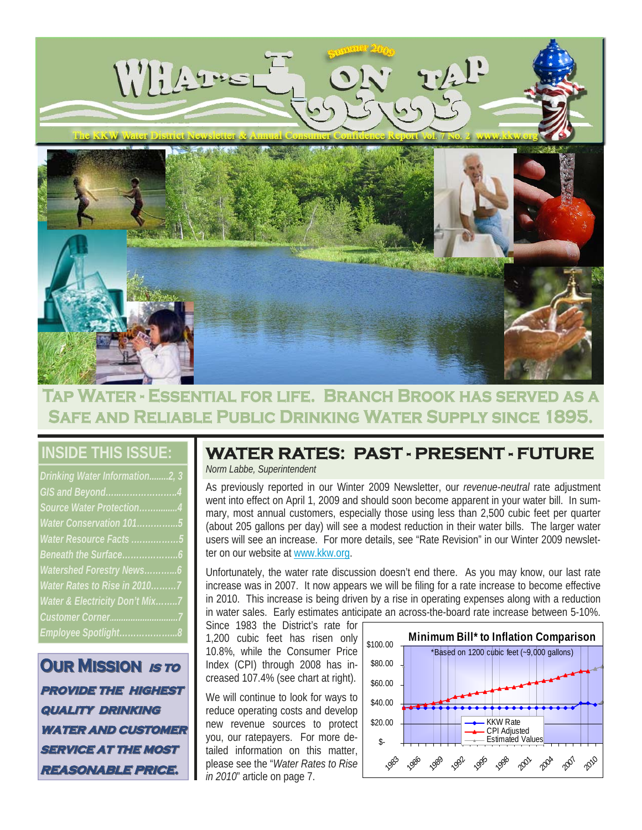

# **Tap Water - Essential for life. Branch Brook has served as a Safe and Reliable Public Drinking Water Supply since 1895.**

# **INSIDE THIS ISSUE:**

| Drinking Water Information2, 3 |
|--------------------------------|
| GIS and Beyond4                |
| Source Water Protection4       |
| Water Conservation 1015        |
| Water Resource Facts 5         |
|                                |
| Watershed Forestry News6       |
| Water Rates to Rise in 20107   |
| Water & Electricity Don't Mix7 |
|                                |
| Employee Spotlight8            |

**OUR MISSION** *is to* **provide the highest provide the highest quality drinking quality drinking WATER AND CUSTOMER SERVICE AT THE MOST reasonable price. reasonable price.**

# **WATER RATES: PAST - PRESENT - FUTURE**

*Norm Labbe, Superintendent* 

As previously reported in our Winter 2009 Newsletter, our *revenue-neutral* rate adjustment went into effect on April 1, 2009 and should soon become apparent in your water bill. In summary, most annual customers, especially those using less than 2,500 cubic feet per quarter (about 205 gallons per day) will see a modest reduction in their water bills. The larger water users will see an increase. For more details, see "Rate Revision" in our Winter 2009 newsletter on our website at www.kkw.org.

Unfortunately, the water rate discussion doesn't end there. As you may know, our last rate increase was in 2007. It now appears we will be filing for a rate increase to become effective in 2010. This increase is being driven by a rise in operating expenses along with a reduction in water sales. Early estimates anticipate an across-the-board rate increase between 5-10%.

Since 1983 the District's rate for 1,200 cubic feet has risen only 10.8%, while the Consumer Price Index (CPI) through 2008 has increased 107.4% (see chart at right).

We will continue to look for ways to reduce operating costs and develop new revenue sources to protect you, our ratepayers. For more detailed information on this matter, please see the "*Water Rates to Rise in 2010*" article on page 7.

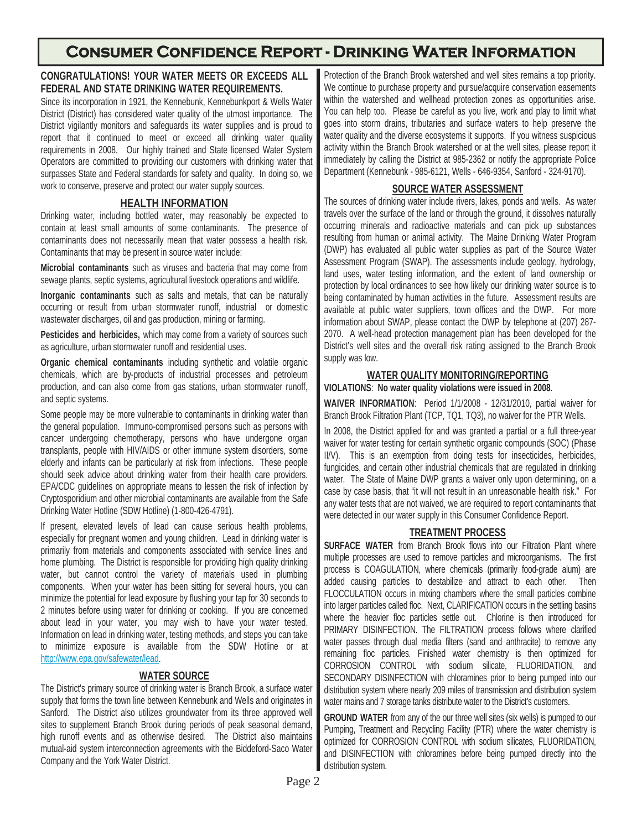# **Consumer Confidence Report - Drinking Water Information**

#### **CONGRATULATIONS! YOUR WATER MEETS OR EXCEEDS ALL FEDERAL AND STATE DRINKING WATER REQUIREMENTS.**

Since its incorporation in 1921, the Kennebunk, Kennebunkport & Wells Water District (District) has considered water quality of the utmost importance. The District vigilantly monitors and safeguards its water supplies and is proud to report that it continued to meet or exceed all drinking water quality requirements in 2008.Our highly trained and State licensed Water System Operators are committed to providing our customers with drinking water that surpasses State and Federal standards for safety and quality. In doing so, we work to conserve, preserve and protect our water supply sources.

#### **HEALTH INFORMATION**

Drinking water, including bottled water, may reasonably be expected to contain at least small amounts of some contaminants. The presence of contaminants does not necessarily mean that water possess a health risk. Contaminants that may be present in source water include:

**Microbial contaminants** such as viruses and bacteria that may come from sewage plants, septic systems, agricultural livestock operations and wildlife.

**Inorganic contaminants** such as salts and metals, that can be naturally occurring or result from urban stormwater runoff, industrial or domestic wastewater discharges, oil and gas production, mining or farming.

**Pesticides and herbicides,** which may come from a variety of sources such as agriculture, urban stormwater runoff and residential uses.

**Organic chemical contaminants** including synthetic and volatile organic chemicals, which are by-products of industrial processes and petroleum production, and can also come from gas stations, urban stormwater runoff, and septic systems.

Some people may be more vulnerable to contaminants in drinking water than the general population. Immuno-compromised persons such as persons with cancer undergoing chemotherapy, persons who have undergone organ transplants, people with HIV/AIDS or other immune system disorders, some elderly and infants can be particularly at risk from infections. These people should seek advice about drinking water from their health care providers. EPA/CDC guidelines on appropriate means to lessen the risk of infection by Cryptosporidium and other microbial contaminants are available from the Safe Drinking Water Hotline (SDW Hotline) (1-800-426-4791).

If present, elevated levels of lead can cause serious health problems, especially for pregnant women and young children. Lead in drinking water is primarily from materials and components associated with service lines and home plumbing. The District is responsible for providing high quality drinking water, but cannot control the variety of materials used in plumbing components. When your water has been sitting for several hours, you can minimize the potential for lead exposure by flushing your tap for 30 seconds to 2 minutes before using water for drinking or cooking. If you are concerned about lead in your water, you may wish to have your water tested. Information on lead in drinking water, testing methods, and steps you can take to minimize exposure is available from the SDW Hotline or at http://www.epa.gov/safewater/lead.

#### **WATER SOURCE**

The District's primary source of drinking water is Branch Brook, a surface water supply that forms the town line between Kennebunk and Wells and originates in Sanford. The District also utilizes groundwater from its three approved well sites to supplement Branch Brook during periods of peak seasonal demand, high runoff events and as otherwise desired. The District also maintains mutual-aid system interconnection agreements with the Biddeford-Saco Water Company and the York Water District.

Protection of the Branch Brook watershed and well sites remains a top priority. We continue to purchase property and pursue/acquire conservation easements within the watershed and wellhead protection zones as opportunities arise. You can help too. Please be careful as you live, work and play to limit what goes into storm drains, tributaries and surface waters to help preserve the water quality and the diverse ecosystems it supports. If you witness suspicious activity within the Branch Brook watershed or at the well sites, please report it immediately by calling the District at 985-2362 or notify the appropriate Police Department (Kennebunk - 985-6121, Wells - 646-9354, Sanford - 324-9170).

#### **SOURCE WATER ASSESSMENT**

The sources of drinking water include rivers, lakes, ponds and wells. As water travels over the surface of the land or through the ground, it dissolves naturally occurring minerals and radioactive materials and can pick up substances resulting from human or animal activity. The Maine Drinking Water Program (DWP) has evaluated all public water supplies as part of the Source Water Assessment Program (SWAP). The assessments include geology, hydrology, land uses, water testing information, and the extent of land ownership or protection by local ordinances to see how likely our drinking water source is to being contaminated by human activities in the future. Assessment results are available at public water suppliers, town offices and the DWP. For more information about SWAP, please contact the DWP by telephone at (207) 287- 2070. A well-head protection management plan has been developed for the District's well sites and the overall risk rating assigned to the Branch Brook supply was low.

#### **WATER QUALITY MONITORING/REPORTING**

**VIOLATIONS**: **No water quality violations were issued in 2008**.

**WAIVER INFORMATION**: Period 1/1/2008 - 12/31/2010, partial waiver for Branch Brook Filtration Plant (TCP, TQ1, TQ3), no waiver for the PTR Wells.

In 2008, the District applied for and was granted a partial or a full three-year waiver for water testing for certain synthetic organic compounds (SOC) (Phase II/V). This is an exemption from doing tests for insecticides, herbicides, fungicides, and certain other industrial chemicals that are regulated in drinking water. The State of Maine DWP grants a waiver only upon determining, on a case by case basis, that "it will not result in an unreasonable health risk." For any water tests that are not waived, we are required to report contaminants that were detected in our water supply in this Consumer Confidence Report.

#### **TREATMENT PROCESS**

**SURFACE WATER** from Branch Brook flows into our Filtration Plant where multiple processes are used to remove particles and microorganisms. The first process is COAGULATION, where chemicals (primarily food-grade alum) are added causing particles to destabilize and attract to each other. Then FLOCCULATION occurs in mixing chambers where the small particles combine into larger particles called floc. Next, CLARIFICATION occurs in the settling basins where the heavier floc particles settle out. Chlorine is then introduced for PRIMARY DISINFECTION. The FILTRATION process follows where clarified water passes through dual media filters (sand and anthracite) to remove any remaining floc particles. Finished water chemistry is then optimized for CORROSION CONTROL with sodium silicate, FLUORIDATION, and SECONDARY DISINFECTION with chloramines prior to being pumped into our distribution system where nearly 209 miles of transmission and distribution system water mains and 7 storage tanks distribute water to the District's customers.

**GROUND WATER** from any of the our three well sites (six wells) is pumped to our Pumping, Treatment and Recycling Facility (PTR) where the water chemistry is optimized for CORROSION CONTROL with sodium silicates, FLUORIDATION, and DISINFECTION with chloramines before being pumped directly into the distribution system.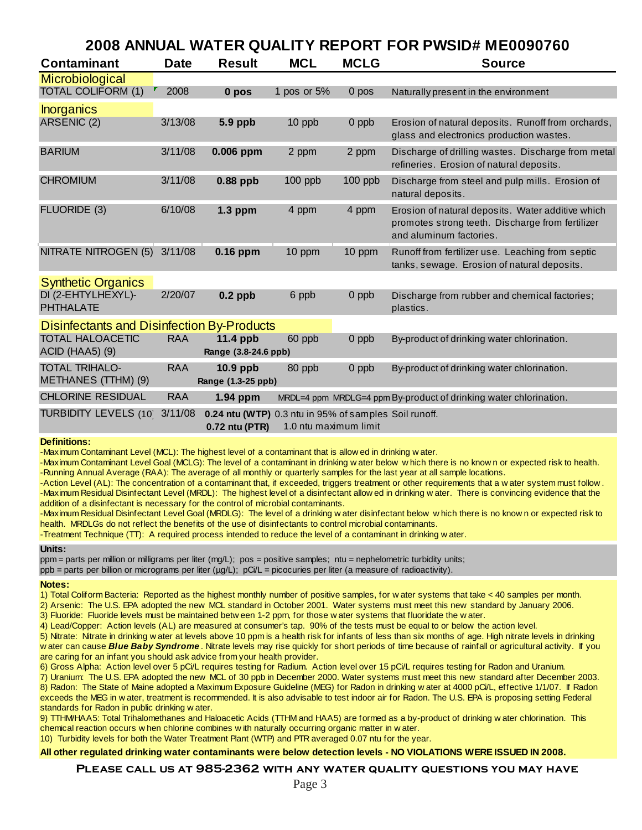### **2008 ANNUAL WATER QUALITY REPORT FOR PWSID# ME0090760**

| <b>Contaminant</b>                                | <b>Date</b> | <b>Result</b>                                                           | <b>MCL</b>  | <b>MCLG</b>           | <b>Source</b>                                                                                                                    |  |
|---------------------------------------------------|-------------|-------------------------------------------------------------------------|-------------|-----------------------|----------------------------------------------------------------------------------------------------------------------------------|--|
| Microbiological                                   |             |                                                                         |             |                       |                                                                                                                                  |  |
| <b>TOTAL COLIFORM (1)</b>                         | 2008        | 0 pos                                                                   | 1 pos or 5% | 0 pos                 | Naturally present in the environment                                                                                             |  |
| <b>Inorganics</b>                                 |             |                                                                         |             |                       |                                                                                                                                  |  |
| ARSENIC (2)                                       | 3/13/08     | 5.9 ppb                                                                 | 10 ppb      | 0 ppb                 | Erosion of natural deposits. Runoff from orchards,<br>glass and electronics production wastes.                                   |  |
| <b>BARIUM</b>                                     | 3/11/08     | 0.006 ppm                                                               | 2 ppm       | 2 ppm                 | Discharge of drilling wastes. Discharge from metal<br>refineries. Erosion of natural deposits.                                   |  |
| <b>CHROMIUM</b>                                   | 3/11/08     | $0.88$ ppb                                                              | $100$ ppb   | $100$ ppb             | Discharge from steel and pulp mills. Erosion of<br>natural deposits.                                                             |  |
| FLUORIDE (3)                                      | 6/10/08     | $1.3$ ppm                                                               | 4 ppm       | 4 ppm                 | Erosion of natural deposits. Water additive which<br>promotes strong teeth. Discharge from fertilizer<br>and aluminum factories. |  |
| NITRATE NITROGEN (5) 3/11/08                      |             | 0.16 ppm                                                                | 10 ppm      | 10 ppm                | Runoff from fertilizer use. Leaching from septic<br>tanks, sewage. Erosion of natural deposits.                                  |  |
| <b>Synthetic Organics</b>                         |             |                                                                         |             |                       |                                                                                                                                  |  |
| DI (2-EHTYLHEXYL)-<br><b>PHTHALATE</b>            | 2/20/07     | $0.2$ ppb                                                               | 6 ppb       | 0 ppb                 | Discharge from rubber and chemical factories;<br>plastics.                                                                       |  |
| <b>Disinfectants and Disinfection By-Products</b> |             |                                                                         |             |                       |                                                                                                                                  |  |
| <b>TOTAL HALOACETIC</b><br><b>ACID (HAA5) (9)</b> | <b>RAA</b>  | 11.4 ppb<br>Range (3.8-24.6 ppb)                                        | 60 ppb      | 0 ppb                 | By-product of drinking water chlorination.                                                                                       |  |
| <b>TOTAL TRIHALO-</b><br>METHANES (TTHM) (9)      | <b>RAA</b>  | 10.9 ppb<br>Range (1.3-25 ppb)                                          | 80 ppb      | $0$ ppb               | By-product of drinking water chlorination.                                                                                       |  |
| <b>CHLORINE RESIDUAL</b>                          | <b>RAA</b>  | 1.94 ppm                                                                |             |                       | MRDL=4 ppm MRDLG=4 ppm By-product of drinking water chlorination.                                                                |  |
| TURBIDITY LEVELS (10) 3/11/08                     |             | 0.24 ntu (WTP) 0.3 ntu in 95% of samples Soil runoff.<br>0.72 ntu (PTR) |             | 1.0 ntu maximum limit |                                                                                                                                  |  |

#### **Definitions:**

-Maximum Contaminant Level (MCL): The highest level of a contaminant that is allow ed in drinking w ater.

-Maximum Contaminant Level Goal (MCLG): The level of a contaminant in drinking w ater below w hich there is no know n or expected risk to health. -Running Annual Average (RAA): The average of all monthly or quarterly samples for the last year at all sample locations.

-Action Level (AL): The concentration of a contaminant that, if exceeded, triggers treatment or other requirements that a w ater system must follow . -Maximum Residual Disinfectant Level (MRDL): The highest level of a disinfectant allow ed in drinking w ater. There is convincing evidence that the addition of a disinfectant is necessary for the control of microbial contaminants.

-Maximum Residual Disinfectant Level Goal (MRDLG): The level of a drinking w ater disinfectant below w hich there is no know n or expected risk to health. MRDLGs do not reflect the benefits of the use of disinfectants to control microbial contaminants.

-Treatment Technique (TT): A required process intended to reduce the level of a contaminant in drinking w ater.

#### **Units:**

ppm = parts per million or milligrams per liter (mg/L); pos = positive samples; ntu = nephelometric turbidity units;

ppb = parts per billion or micrograms per liter ( $\mu$ g/L); pCi/L = picocuries per liter (a measure of radioactivity).

#### **Notes:**

1) Total Coliform Bacteria: Reported as the highest monthly number of positive samples, for w ater systems that take < 40 samples per month.

2) Arsenic: The U.S. EPA adopted the new MCL standard in October 2001. Water systems must meet this new standard by January 2006.

3) Fluoride: Fluoride levels must be maintained betw een 1-2 ppm, for those w ater systems that fluoridate the w ater.

4) Lead/Copper: Action levels (AL) are measured at consumer's tap. 90% of the tests must be equal to or below the action level.

5) Nitrate: Nitrate in drinking w ater at levels above 10 ppm is a health risk for infants of less than six months of age. High nitrate levels in drinking w ater can cause *Blue Baby Syndrome* . Nitrate levels may rise quickly for short periods of time because of rainfall or agricultural activity. If you are caring for an infant you should ask advice from your health provider.

6) Gross Alpha: Action level over 5 pCi/L requires testing for Radium. Action level over 15 pCi/L requires testing for Radon and Uranium.

7) Uranium: The U.S. EPA adopted the new MCL of 30 ppb in December 2000. Water systems must meet this new standard after December 2003. 8) Radon: The State of Maine adopted a Maximum Exposure Guideline (MEG) for Radon in drinking w ater at 4000 pCi/L, effective 1/1/07. If Radon exceeds the MEG in w ater, treatment is recommended. It is also advisable to test indoor air for Radon. The U.S. EPA is proposing setting Federal standards for Radon in public drinking w ater.

9) TTHM/HAA5: Total Trihalomethanes and Haloacetic Acids (TTHM and HAA5) are formed as a by-product of drinking w ater chlorination. This chemical reaction occurs w hen chlorine combines w ith naturally occurring organic matter in w ater.

10) Turbidity levels for both the Water Treatment Plant (WTP) and PTR averaged 0.07 ntu for the year.

**All other regulated drinking water contaminants were below detection levels - NO VIOLATIONS WERE ISSUED IN 2008.**

#### **Please call us at 985-2362 with any water quality questions you may have**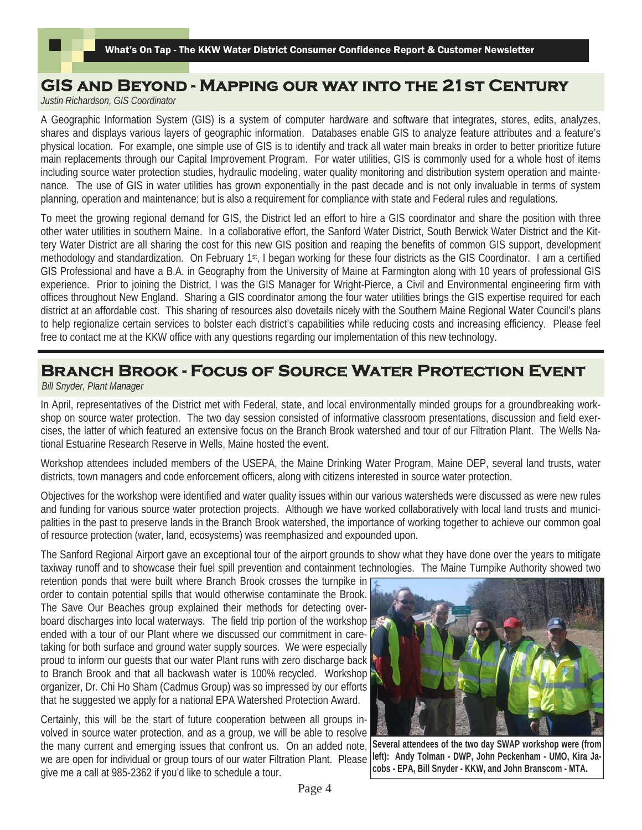# **GIS and Beyond - Mapping our way into the 21st Century**

*Justin Richardson, GIS Coordinator* 

A Geographic Information System (GIS) is a system of computer hardware and software that integrates, stores, edits, analyzes, shares and displays various layers of geographic information. Databases enable GIS to analyze feature attributes and a feature's physical location. For example, one simple use of GIS is to identify and track all water main breaks in order to better prioritize future main replacements through our Capital Improvement Program. For water utilities, GIS is commonly used for a whole host of items including source water protection studies, hydraulic modeling, water quality monitoring and distribution system operation and maintenance. The use of GIS in water utilities has grown exponentially in the past decade and is not only invaluable in terms of system planning, operation and maintenance; but is also a requirement for compliance with state and Federal rules and regulations.

To meet the growing regional demand for GIS, the District led an effort to hire a GIS coordinator and share the position with three other water utilities in southern Maine. In a collaborative effort, the Sanford Water District, South Berwick Water District and the Kittery Water District are all sharing the cost for this new GIS position and reaping the benefits of common GIS support, development methodology and standardization. On February 1st, I began working for these four districts as the GIS Coordinator. I am a certified GIS Professional and have a B.A. in Geography from the University of Maine at Farmington along with 10 years of professional GIS experience. Prior to joining the District, I was the GIS Manager for Wright-Pierce, a Civil and Environmental engineering firm with offices throughout New England. Sharing a GIS coordinator among the four water utilities brings the GIS expertise required for each district at an affordable cost. This sharing of resources also dovetails nicely with the Southern Maine Regional Water Council's plans to help regionalize certain services to bolster each district's capabilities while reducing costs and increasing efficiency. Please feel free to contact me at the KKW office with any questions regarding our implementation of this new technology.

# **Branch Brook - Focus of Source Water Protection Event**

*Bill Snyder, Plant Manager* 

In April, representatives of the District met with Federal, state, and local environmentally minded groups for a groundbreaking workshop on source water protection. The two day session consisted of informative classroom presentations, discussion and field exercises, the latter of which featured an extensive focus on the Branch Brook watershed and tour of our Filtration Plant. The Wells National Estuarine Research Reserve in Wells, Maine hosted the event.

Workshop attendees included members of the USEPA, the Maine Drinking Water Program, Maine DEP, several land trusts, water districts, town managers and code enforcement officers, along with citizens interested in source water protection.

Objectives for the workshop were identified and water quality issues within our various watersheds were discussed as were new rules and funding for various source water protection projects. Although we have worked collaboratively with local land trusts and municipalities in the past to preserve lands in the Branch Brook watershed, the importance of working together to achieve our common goal of resource protection (water, land, ecosystems) was reemphasized and expounded upon.

The Sanford Regional Airport gave an exceptional tour of the airport grounds to show what they have done over the years to mitigate taxiway runoff and to showcase their fuel spill prevention and containment technologies. The Maine Turnpike Authority showed two

retention ponds that were built where Branch Brook crosses the turnpike in order to contain potential spills that would otherwise contaminate the Brook. The Save Our Beaches group explained their methods for detecting overboard discharges into local waterways. The field trip portion of the workshop ended with a tour of our Plant where we discussed our commitment in caretaking for both surface and ground water supply sources. We were especially proud to inform our guests that our water Plant runs with zero discharge back to Branch Brook and that all backwash water is 100% recycled. Workshop organizer, Dr. Chi Ho Sham (Cadmus Group) was so impressed by our efforts that he suggested we apply for a national EPA Watershed Protection Award.

Certainly, this will be the start of future cooperation between all groups involved in source water protection, and as a group, we will be able to resolve the many current and emerging issues that confront us. On an added note, we are open for individual or group tours of our water Filtration Plant. Please give me a call at 985-2362 if you'd like to schedule a tour.



**Several attendees of the two day SWAP workshop were (from left): Andy Tolman - DWP, John Peckenham - UMO, Kira Jacobs - EPA, Bill Snyder - KKW, and John Branscom - MTA.**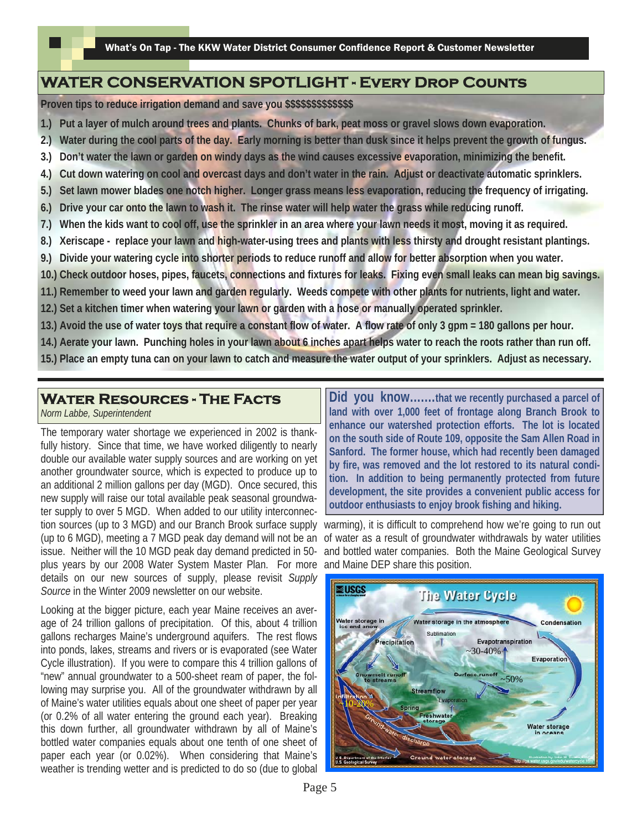### **WATER CONSERVATION SPOTLIGHT - Every Drop Counts**

**Proven tips to reduce irrigation demand and save you \$\$\$\$\$\$\$\$\$\$\$\$\$** 

- **1.) Put a layer of mulch around trees and plants. Chunks of bark, peat moss or gravel slows down evaporation.**
- **2.) Water during the cool parts of the day. Early morning is better than dusk since it helps prevent the growth of fungus.**
- **3.) Don't water the lawn or garden on windy days as the wind causes excessive evaporation, minimizing the benefit.**
- **4.) Cut down watering on cool and overcast days and don't water in the rain. Adjust or deactivate automatic sprinklers.**
- **5.) Set lawn mower blades one notch higher. Longer grass means less evaporation, reducing the frequency of irrigating.**
- **6.) Drive your car onto the lawn to wash it. The rinse water will help water the grass while reducing runoff.**
- **7.) When the kids want to cool off, use the sprinkler in an area where your lawn needs it most, moving it as required.**
- **8.) Xeriscape replace your lawn and high-water-using trees and plants with less thirsty and drought resistant plantings.**
- **9.) Divide your watering cycle into shorter periods to reduce runoff and allow for better absorption when you water.**
- **10.) Check outdoor hoses, pipes, faucets, connections and fixtures for leaks. Fixing even small leaks can mean big savings.**
- **11.) Remember to weed your lawn and garden regularly. Weeds compete with other plants for nutrients, light and water.**
- **12.) Set a kitchen timer when watering your lawn or garden with a hose or manually operated sprinkler.**
- **13.) Avoid the use of water toys that require a constant flow of water. A flow rate of only 3 gpm = 180 gallons per hour.**
- **14.) Aerate your lawn. Punching holes in your lawn about 6 inches apart helps water to reach the roots rather than run off.**
- **15.) Place an empty tuna can on your lawn to catch and measure the water output of your sprinklers. Adjust as necessary.**

### **Water Resources - The Facts**

*Norm Labbe, Superintendent* 

The temporary water shortage we experienced in 2002 is thankfully history. Since that time, we have worked diligently to nearly double our available water supply sources and are working on yet another groundwater source, which is expected to produce up to an additional 2 million gallons per day (MGD). Once secured, this new supply will raise our total available peak seasonal groundwater supply to over 5 MGD. When added to our utility interconnection sources (up to 3 MGD) and our Branch Brook surface supply (up to 6 MGD), meeting a 7 MGD peak day demand will not be an issue. Neither will the 10 MGD peak day demand predicted in 50 plus years by our 2008 Water System Master Plan. For more details on our new sources of supply, please revisit *Supply Source* in the Winter 2009 newsletter on our website.

Looking at the bigger picture, each year Maine receives an average of 24 trillion gallons of precipitation. Of this, about 4 trillion gallons recharges Maine's underground aquifers. The rest flows into ponds, lakes, streams and rivers or is evaporated (see Water Cycle illustration). If you were to compare this 4 trillion gallons of "new" annual groundwater to a 500-sheet ream of paper, the following may surprise you. All of the groundwater withdrawn by all of Maine's water utilities equals about one sheet of paper per year (or 0.2% of all water entering the ground each year). Breaking this down further, all groundwater withdrawn by all of Maine's bottled water companies equals about one tenth of one sheet of paper each year (or 0.02%). When considering that Maine's weather is trending wetter and is predicted to do so (due to global

**Did you know….…that we recently purchased a parcel of land with over 1,000 feet of frontage along Branch Brook to enhance our watershed protection efforts. The lot is located on the south side of Route 109, opposite the Sam Allen Road in Sanford. The former house, which had recently been damaged by fire, was removed and the lot restored to its natural condition. In addition to being permanently protected from future development, the site provides a convenient public access for outdoor enthusiasts to enjoy brook fishing and hiking.** 

warming), it is difficult to comprehend how we're going to run out of water as a result of groundwater withdrawals by water utilities and bottled water companies. Both the Maine Geological Survey and Maine DEP share this position.

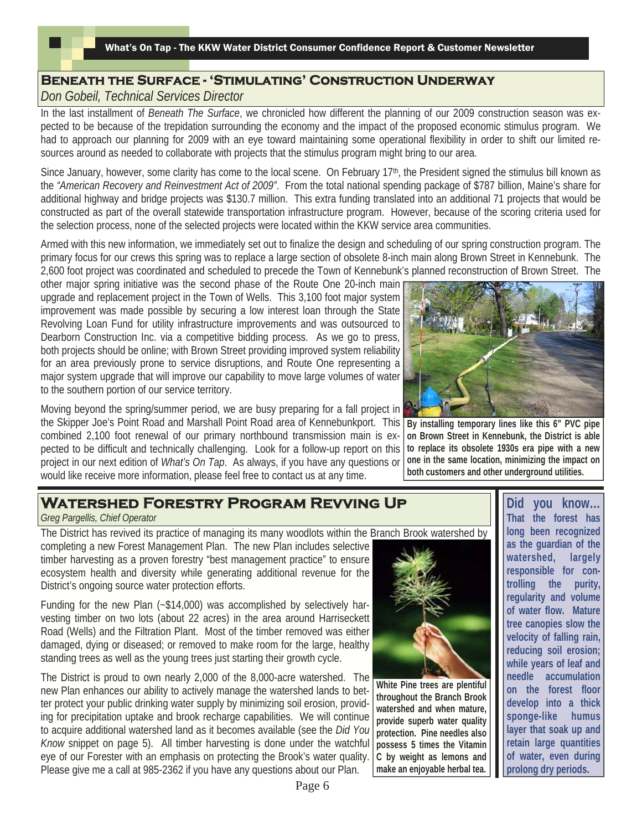### **Beneath the Surface - 'Stimulating' Construction Underway**

*Don Gobeil, Technical Services Director* 

In the last installment of *Beneath The Surface*, we chronicled how different the planning of our 2009 construction season was expected to be because of the trepidation surrounding the economy and the impact of the proposed economic stimulus program. We had to approach our planning for 2009 with an eye toward maintaining some operational flexibility in order to shift our limited resources around as needed to collaborate with projects that the stimulus program might bring to our area.

Since January, however, some clarity has come to the local scene. On February 17<sup>th</sup>, the President signed the stimulus bill known as the *"American Recovery and Reinvestment Act of 2009"*. From the total national spending package of \$787 billion, Maine's share for additional highway and bridge projects was \$130.7 million. This extra funding translated into an additional 71 projects that would be constructed as part of the overall statewide transportation infrastructure program. However, because of the scoring criteria used for the selection process, none of the selected projects were located within the KKW service area communities.

Armed with this new information, we immediately set out to finalize the design and scheduling of our spring construction program. The primary focus for our crews this spring was to replace a large section of obsolete 8-inch main along Brown Street in Kennebunk. The 2,600 foot project was coordinated and scheduled to precede the Town of Kennebunk's planned reconstruction of Brown Street. The

other major spring initiative was the second phase of the Route One 20-inch main upgrade and replacement project in the Town of Wells. This 3,100 foot major system improvement was made possible by securing a low interest loan through the State Revolving Loan Fund for utility infrastructure improvements and was outsourced to Dearborn Construction Inc. via a competitive bidding process. As we go to press, both projects should be online; with Brown Street providing improved system reliability for an area previously prone to service disruptions, and Route One representing a major system upgrade that will improve our capability to move large volumes of water to the southern portion of our service territory.

Moving beyond the spring/summer period, we are busy preparing for a fall project in the Skipper Joe's Point Road and Marshall Point Road area of Kennebunkport. This combined 2,100 foot renewal of our primary northbound transmission main is expected to be difficult and technically challenging. Look for a follow-up report on this project in our next edition of *What's On Tap*. As always, if you have any questions or would like receive more information, please feel free to contact us at any time.



**By installing temporary lines like this 6" PVC pipe on Brown Street in Kennebunk, the District is able to replace its obsolete 1930s era pipe with a new one in the same location, minimizing the impact on both customers and other underground utilities.** 

# **Watershed Forestry Program Revving Up**

*Greg Pargellis, Chief Operator* 

The District has revived its practice of managing its many woodlots within the Branch Brook watershed by

completing a new Forest Management Plan. The new Plan includes selective timber harvesting as a proven forestry "best management practice" to ensure ecosystem health and diversity while generating additional revenue for the District's ongoing source water protection efforts.

Funding for the new Plan (~\$14,000) was accomplished by selectively harvesting timber on two lots (about 22 acres) in the area around Harriseckett Road (Wells) and the Filtration Plant. Most of the timber removed was either damaged, dying or diseased; or removed to make room for the large, healthy standing trees as well as the young trees just starting their growth cycle.

The District is proud to own nearly 2,000 of the 8,000-acre watershed. The new Plan enhances our ability to actively manage the watershed lands to better protect your public drinking water supply by minimizing soil erosion, providing for precipitation uptake and brook recharge capabilities. We will continue to acquire additional watershed land as it becomes available (see the *Did You Know* snippet on page 5). All timber harvesting is done under the watchful eye of our Forester with an emphasis on protecting the Brook's water quality. Please give me a call at 985-2362 if you have any questions about our Plan.



**White Pine trees are plentiful throughout the Branch Brook watershed and when mature, provide superb water quality protection. Pine needles also possess 5 times the Vitamin C by weight as lemons and make an enjoyable herbal tea.** 

**Did you know… That the forest has long been recognized as the guardian of the watershed, largely responsible for controlling the purity, regularity and volume of water flow. Mature tree canopies slow the velocity of falling rain, reducing soil erosion; while years of leaf and needle accumulation on the forest floor develop into a thick sponge-like humus layer that soak up and retain large quantities of water, even during prolong dry periods.**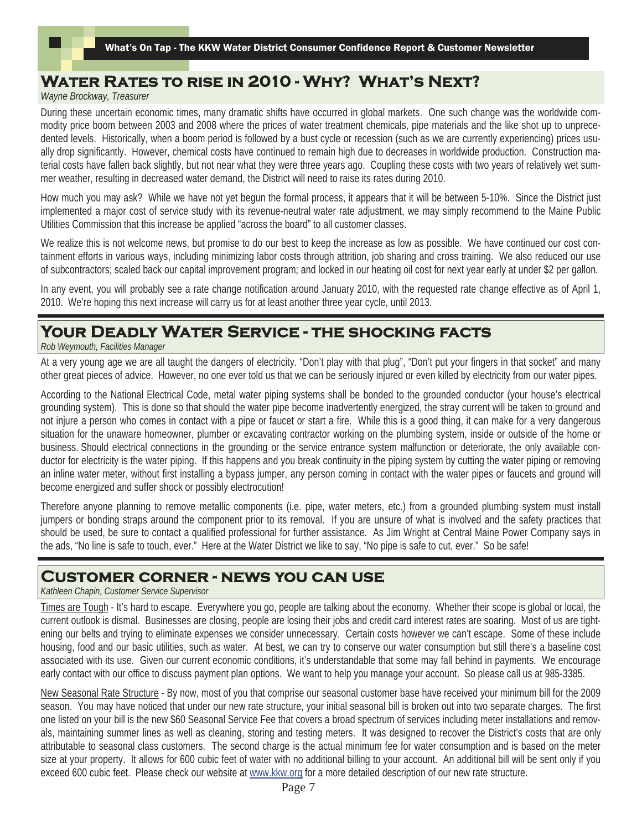# **Water Rates to rise in 2010 - Why? What's Next?**

*Wayne Brockway, Treasurer* 

During these uncertain economic times, many dramatic shifts have occurred in global markets. One such change was the worldwide commodity price boom between 2003 and 2008 where the prices of water treatment chemicals, pipe materials and the like shot up to unprecedented levels. Historically, when a boom period is followed by a bust cycle or recession (such as we are currently experiencing) prices usually drop significantly. However, chemical costs have continued to remain high due to decreases in worldwide production. Construction material costs have fallen back slightly, but not near what they were three years ago. Coupling these costs with two years of relatively wet summer weather, resulting in decreased water demand, the District will need to raise its rates during 2010.

How much you may ask? While we have not yet begun the formal process, it appears that it will be between 5-10%. Since the District just implemented a major cost of service study with its revenue-neutral water rate adjustment, we may simply recommend to the Maine Public Utilities Commission that this increase be applied "across the board" to all customer classes.

We realize this is not welcome news, but promise to do our best to keep the increase as low as possible. We have continued our cost containment efforts in various ways, including minimizing labor costs through attrition, job sharing and cross training. We also reduced our use of subcontractors; scaled back our capital improvement program; and locked in our heating oil cost for next year early at under \$2 per gallon.

In any event, you will probably see a rate change notification around January 2010, with the requested rate change effective as of April 1, 2010. We're hoping this next increase will carry us for at least another three year cycle, until 2013.

# **Your Deadly Water Service - the shocking facts**

*Rob Weymouth, Facilities Manager* 

At a very young age we are all taught the dangers of electricity. "Don't play with that plug", "Don't put your fingers in that socket" and many other great pieces of advice. However, no one ever told us that we can be seriously injured or even killed by electricity from our water pipes.

According to the National Electrical Code, metal water piping systems shall be bonded to the grounded conductor (your house's electrical grounding system). This is done so that should the water pipe become inadvertently energized, the stray current will be taken to ground and not injure a person who comes in contact with a pipe or faucet or start a fire. While this is a good thing, it can make for a very dangerous situation for the unaware homeowner, plumber or excavating contractor working on the plumbing system, inside or outside of the home or business. Should electrical connections in the grounding or the service entrance system malfunction or deteriorate, the only available conductor for electricity is the water piping. If this happens and you break continuity in the piping system by cutting the water piping or removing an inline water meter, without first installing a bypass jumper, any person coming in contact with the water pipes or faucets and ground will become energized and suffer shock or possibly electrocution!

Therefore anyone planning to remove metallic components (i.e. pipe, water meters, etc.) from a grounded plumbing system must install jumpers or bonding straps around the component prior to its removal. If you are unsure of what is involved and the safety practices that should be used, be sure to contact a qualified professional for further assistance. As Jim Wright at Central Maine Power Company says in the ads, "No line is safe to touch, ever." Here at the Water District we like to say, "No pipe is safe to cut, ever." So be safe!

### **Customer corner - news you can use**

*Kathleen Chapin, Customer Service Supervisor* 

Times are Tough - It's hard to escape. Everywhere you go, people are talking about the economy. Whether their scope is global or local, the current outlook is dismal. Businesses are closing, people are losing their jobs and credit card interest rates are soaring. Most of us are tightening our belts and trying to eliminate expenses we consider unnecessary. Certain costs however we can't escape. Some of these include housing, food and our basic utilities, such as water. At best, we can try to conserve our water consumption but still there's a baseline cost associated with its use. Given our current economic conditions, it's understandable that some may fall behind in payments. We encourage early contact with our office to discuss payment plan options. We want to help you manage your account. So please call us at 985-3385.

New Seasonal Rate Structure - By now, most of you that comprise our seasonal customer base have received your minimum bill for the 2009 season. You may have noticed that under our new rate structure, your initial seasonal bill is broken out into two separate charges. The first one listed on your bill is the new \$60 Seasonal Service Fee that covers a broad spectrum of services including meter installations and removals, maintaining summer lines as well as cleaning, storing and testing meters. It was designed to recover the District's costs that are only attributable to seasonal class customers. The second charge is the actual minimum fee for water consumption and is based on the meter size at your property. It allows for 600 cubic feet of water with no additional billing to your account. An additional bill will be sent only if you exceed 600 cubic feet. Please check our website at www.kkw.org for a more detailed description of our new rate structure.